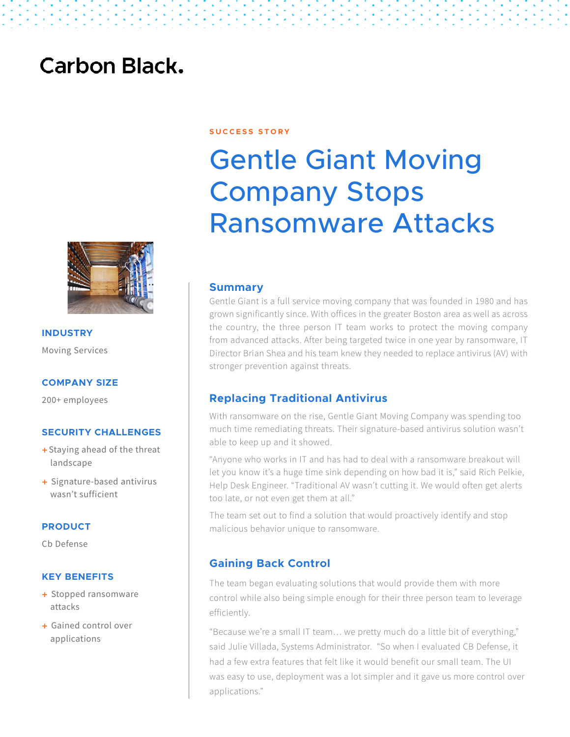## **Carbon Black.**



# Gentle Giant Moving Company Stops Ransomware Attacks



**INDUSTRY** Moving Services

#### **COMPANY SIZE**

200+ employees

#### **SECURITY CHALLENGES**

- + Staying ahead of the threat landscape
- + Signature-based antivirus wasn't sufficient

#### **PRODUCT**

Cb Defense

#### **KEY BENEFITS**

- + Stopped ransomware attacks
- + Gained control over applications

#### **Summary**

Gentle Giant is a full service moving company that was founded in 1980 and has grown significantly since. With offices in the greater Boston area as well as across the country, the three person IT team works to protect the moving company from advanced attacks. After being targeted twice in one year by ransomware, IT Director Brian Shea and his team knew they needed to replace antivirus (AV) with stronger prevention against threats.

#### **Replacing Traditional Antivirus**

With ransomware on the rise, Gentle Giant Moving Company was spending too much time remediating threats. Their signature-based antivirus solution wasn't able to keep up and it showed.

"Anyone who works in IT and has had to deal with a ransomware breakout will let you know it's a huge time sink depending on how bad it is," said Rich Pelkie, Help Desk Engineer. "Traditional AV wasn't cutting it. We would often get alerts too late, or not even get them at all."

The team set out to find a solution that would proactively identify and stop malicious behavior unique to ransomware.

### **Gaining Back Control**

The team began evaluating solutions that would provide them with more control while also being simple enough for their three person team to leverage efficiently.

"Because we're a small IT team… we pretty much do a little bit of everything," said Julie Villada, Systems Administrator. "So when I evaluated CB Defense, it had a few extra features that felt like it would benefit our small team. The UI was easy to use, deployment was a lot simpler and it gave us more control over applications."